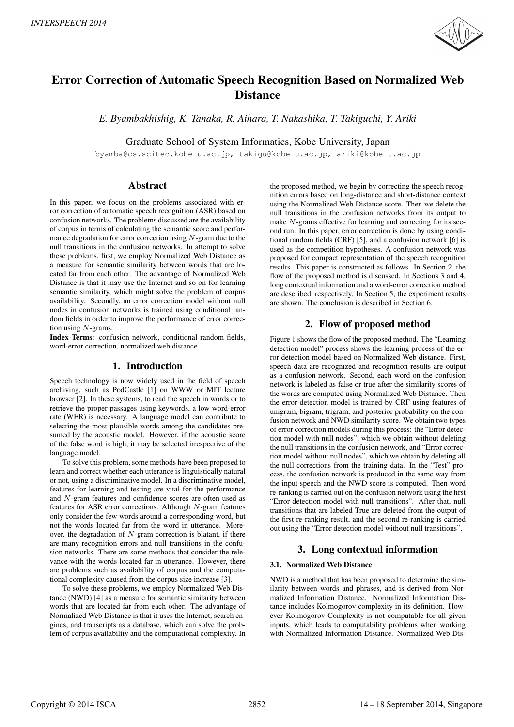

# Error Correction of Automatic Speech Recognition Based on Normalized Web **Distance**

*E. Byambakhishig, K. Tanaka, R. Aihara, T. Nakashika, T. Takiguchi, Y. Ariki*

Graduate School of System Informatics, Kobe University, Japan

byamba@cs.scitec.kobe-u.ac.jp, takigu@kobe-u.ac.jp, ariki@kobe-u.ac.jp

# Abstract

In this paper, we focus on the problems associated with error correction of automatic speech recognition (ASR) based on confusion networks. The problems discussed are the availability of corpus in terms of calculating the semantic score and performance degradation for error correction using  $N$ -gram due to the null transitions in the confusion networks. In attempt to solve these problems, first, we employ Normalized Web Distance as a measure for semantic similarity between words that are located far from each other. The advantage of Normalized Web Distance is that it may use the Internet and so on for learning semantic similarity, which might solve the problem of corpus availability. Secondly, an error correction model without null nodes in confusion networks is trained using conditional random fields in order to improve the performance of error correction using  $N$ -grams.

Index Terms: confusion network, conditional random fields, word-error correction, normalized web distance

# 1. Introduction

Speech technology is now widely used in the field of speech archiving, such as PodCastle [1] on WWW or MIT lecture browser [2]. In these systems, to read the speech in words or to retrieve the proper passages using keywords, a low word-error rate (WER) is necessary. A language model can contribute to selecting the most plausible words among the candidates presumed by the acoustic model. However, if the acoustic score of the false word is high, it may be selected irrespective of the language model.

To solve this problem, some methods have been proposed to learn and correct whether each utterance is linguistically natural or not, using a discriminative model. In a discriminative model, features for learning and testing are vital for the performance and N-gram features and confidence scores are often used as features for ASR error corrections. Although N-gram features only consider the few words around a corresponding word, but not the words located far from the word in utterance. Moreover, the degradation of  $N$ -gram correction is blatant, if there are many recognition errors and null transitions in the confusion networks. There are some methods that consider the relevance with the words located far in utterance. However, there are problems such as availability of corpus and the computational complexity caused from the corpus size increase [3].

To solve these problems, we employ Normalized Web Distance (NWD) [4] as a measure for semantic similarity between words that are located far from each other. The advantage of Normalized Web Distance is that it uses the Internet, search engines, and transcripts as a database, which can solve the problem of corpus availability and the computational complexity. In

the proposed method, we begin by correcting the speech recognition errors based on long-distance and short-distance context using the Normalized Web Distance score. Then we delete the null transitions in the confusion networks from its output to make N-grams effective for learning and correcting for its second run. In this paper, error correction is done by using conditional random fields (CRF) [5], and a confusion network [6] is used as the competition hypotheses. A confusion network was proposed for compact representation of the speech recognition results. This paper is constructed as follows. In Section 2, the flow of the proposed method is discussed. In Sections 3 and 4, long contextual information and a word-error correction method are described, respectively. In Section 5, the experiment results are shown. The conclusion is described in Section 6.

# 2. Flow of proposed method

Figure 1 shows the flow of the proposed method. The "Learning detection model" process shows the learning process of the error detection model based on Normalized Web distance. First, speech data are recognized and recognition results are output as a confusion network. Second, each word on the confusion network is labeled as false or true after the similarity scores of the words are computed using Normalized Web Distance. Then the error detection model is trained by CRF using features of unigram, bigram, trigram, and posterior probability on the confusion network and NWD similarity score. We obtain two types of error correction models during this process: the "Error detection model with null nodes", which we obtain without deleting the null transitions in the confusion network, and "Error correction model without null nodes", which we obtain by deleting all the null corrections from the training data. In the "Test" process, the confusion network is produced in the same way from the input speech and the NWD score is computed. Then word re-ranking is carried out on the confusion network using the first "Error detection model with null transitions". After that, null transitions that are labeled True are deleted from the output of the first re-ranking result, and the second re-ranking is carried out using the "Error detection model without null transitions".

# 3. Long contextual information

# 3.1. Normalized Web Distance

NWD is a method that has been proposed to determine the similarity between words and phrases, and is derived from Normalized Information Distance. Normalized Information Distance includes Kolmogorov complexity in its definition. However Kolmogorov Complexity is not computable for all given inputs, which leads to computability problems when working with Normalized Information Distance. Normalized Web Dis-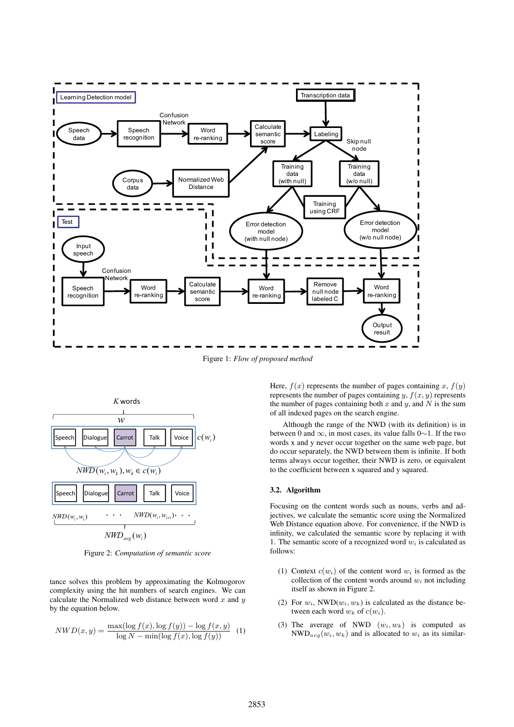

Figure 1: *Flow of proposed method*



Figure 2: *Computation of semantic score*

tance solves this problem by approximating the Kolmogorov complexity using the hit numbers of search engines. We can calculate the Normalized web distance between word  $x$  and  $y$ by the equation below.

$$
NWD(x,y) = \frac{\max(\log f(x), \log f(y)) - \log f(x,y)}{\log N - \min(\log f(x), \log f(y))} \tag{1}
$$

Here,  $f(x)$  represents the number of pages containing x,  $f(y)$ represents the number of pages containing y,  $f(x, y)$  represents the number of pages containing both  $x$  and  $y$ , and  $N$  is the sum of all indexed pages on the search engine.

Although the range of the NWD (with its definition) is in between 0 and ∞, in most cases, its value falls 0∼1. If the two words x and y never occur together on the same web page, but do occur separately, the NWD between them is infinite. If both terms always occur together, their NWD is zero, or equivalent to the coefficient between x squared and y squared.

### 3.2. Algorithm

Focusing on the content words such as nouns, verbs and adjectives, we calculate the semantic score using the Normalized Web Distance equation above. For convenience, if the NWD is infinity, we calculated the semantic score by replacing it with 1. The semantic score of a recognized word  $w_i$  is calculated as follows:

- (1) Context  $c(w_i)$  of the content word  $w_i$  is formed as the collection of the content words around  $w_i$  not including itself as shown in Figure 2.
- (2) For  $w_i$ , NWD( $w_i, w_k$ ) is calculated as the distance between each word  $w_k$  of  $c(w_i)$ .
- (3) The average of NWD  $(w_i, w_k)$  is computed as  $\text{NWD}_{avg}(w_i, w_k)$  and is allocated to  $w_i$  as its similar-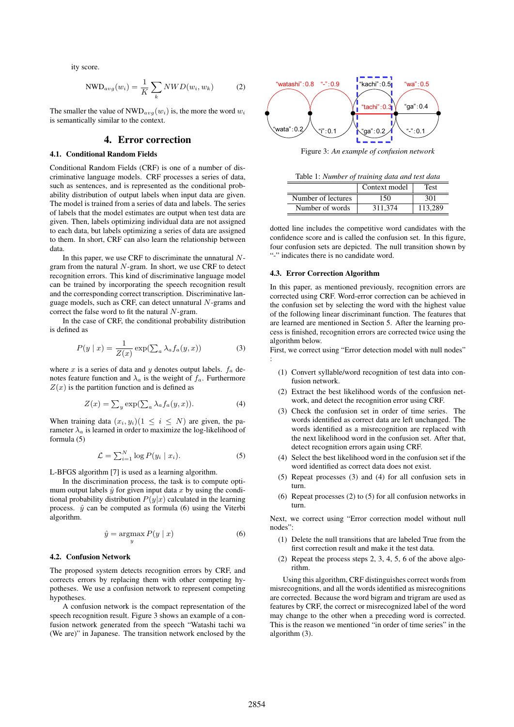ity score.

$$
NWD_{avg}(w_i) = \frac{1}{K} \sum_{k} NWD(w_i, w_k)
$$
 (2)

The smaller the value of  $\text{NWD}_{avg}(w_i)$  is, the more the word  $w_i$ is semantically similar to the context.

### 4. Error correction

### 4.1. Conditional Random Fields

Conditional Random Fields (CRF) is one of a number of discriminative language models. CRF processes a series of data, such as sentences, and is represented as the conditional probability distribution of output labels when input data are given. The model is trained from a series of data and labels. The series of labels that the model estimates are output when test data are given. Then, labels optimizing individual data are not assigned to each data, but labels optimizing a series of data are assigned to them. In short, CRF can also learn the relationship between data.

In this paper, we use CRF to discriminate the unnatural  $N$ gram from the natural N-gram. In short, we use CRF to detect recognition errors. This kind of discriminative language model can be trained by incorporating the speech recognition result and the corresponding correct transcription. Discriminative language models, such as CRF, can detect unnatural N-grams and correct the false word to fit the natural N-gram.

In the case of CRF, the conditional probability distribution is defined as

$$
P(y \mid x) = \frac{1}{Z(x)} \exp(\sum_{a} \lambda_a f_a(y, x))
$$
 (3)

where x is a series of data and y denotes output labels.  $f_a$  denotes feature function and  $\lambda_a$  is the weight of  $f_a$ . Furthermore  $Z(x)$  is the partition function and is defined as

$$
Z(x) = \sum_{y} \exp(\sum_{a} \lambda_a f_a(y, x)).
$$
 (4)

When training data  $(x_i, y_i)(1 \leq i \leq N)$  are given, the parameter  $\lambda_a$  is learned in order to maximize the log-likelihood of formula (5)

$$
\mathcal{L} = \sum_{i=1}^{N} \log P(y_i \mid x_i). \tag{5}
$$

L-BFGS algorithm [7] is used as a learning algorithm.

In the discrimination process, the task is to compute optimum output labels  $\hat{y}$  for given input data x by using the conditional probability distribution  $P(y|x)$  calculated in the learning process.  $\hat{y}$  can be computed as formula (6) using the Viterbi algorithm.

$$
\hat{y} = \underset{y}{\operatorname{argmax}} P(y \mid x) \tag{6}
$$

#### 4.2. Confusion Network

The proposed system detects recognition errors by CRF, and corrects errors by replacing them with other competing hypotheses. We use a confusion network to represent competing hypotheses.

A confusion network is the compact representation of the speech recognition result. Figure 3 shows an example of a confusion network generated from the speech "Watashi tachi wa (We are)" in Japanese. The transition network enclosed by the



Figure 3: *An example of confusion network*

| Table 1: Number of training data and test data |               |             |  |  |  |
|------------------------------------------------|---------------|-------------|--|--|--|
|                                                | Context model | <b>Test</b> |  |  |  |
| Number of lectures                             | 150           | 301         |  |  |  |
| Number of words                                | 311.374       | 113.289     |  |  |  |

dotted line includes the competitive word candidates with the confidence score and is called the confusion set. In this figure, four confusion sets are depicted. The null transition shown by "-" indicates there is no candidate word.

#### 4.3. Error Correction Algorithm

In this paper, as mentioned previously, recognition errors are corrected using CRF. Word-error correction can be achieved in the confusion set by selecting the word with the highest value of the following linear discriminant function. The features that are learned are mentioned in Section 5. After the learning process is finished, recognition errors are corrected twice using the algorithm below.

First, we correct using "Error detection model with null nodes" :

- (1) Convert syllable/word recognition of test data into confusion network.
- (2) Extract the best likelihood words of the confusion network, and detect the recognition error using CRF.
- (3) Check the confusion set in order of time series. The words identified as correct data are left unchanged. The words identified as a misrecognition are replaced with the next likelihood word in the confusion set. After that, detect recognition errors again using CRF.
- (4) Select the best likelihood word in the confusion set if the word identified as correct data does not exist.
- (5) Repeat processes (3) and (4) for all confusion sets in turn.
- (6) Repeat processes (2) to (5) for all confusion networks in turn.

Next, we correct using "Error correction model without null nodes":

- (1) Delete the null transitions that are labeled True from the first correction result and make it the test data.
- (2) Repeat the process steps 2, 3, 4, 5, 6 of the above algorithm.

Using this algorithm, CRF distinguishes correct words from misrecognitions, and all the words identified as misrecognitions are corrected. Because the word bigram and trigram are used as features by CRF, the correct or misrecognized label of the word may change to the other when a preceding word is corrected. This is the reason we mentioned "in order of time series" in the algorithm (3).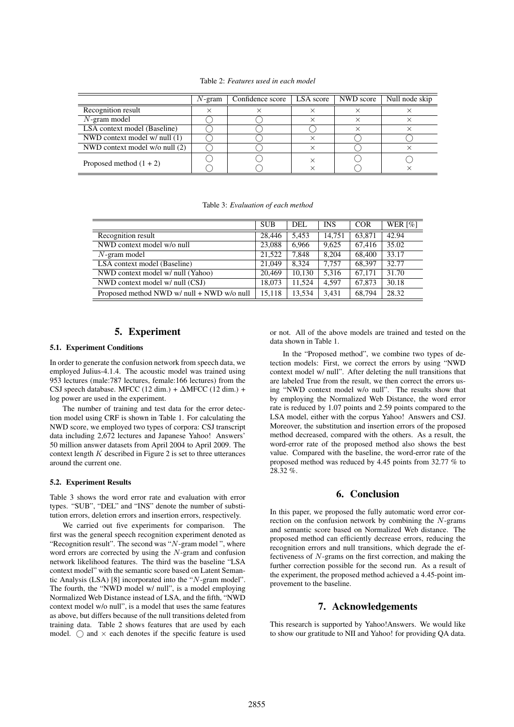Table 2: *Features used in each model*

|                                | $N$ -gram | Confidence score | LSA score | NWD score | Null node skip |
|--------------------------------|-----------|------------------|-----------|-----------|----------------|
| Recognition result             |           |                  |           |           |                |
| $N$ -gram model                |           |                  |           |           |                |
| LSA context model (Baseline)   |           |                  |           |           |                |
| NWD context model w/ null (1)  |           |                  |           |           |                |
| NWD context model w/o null (2) |           |                  |           |           |                |
| Proposed method $(1 + 2)$      |           |                  |           |           |                |

|                                            | <b>SUB</b> | DEL    | <b>INS</b> | <b>COR</b> | WER $\lceil \% \rceil$ |
|--------------------------------------------|------------|--------|------------|------------|------------------------|
| Recognition result                         | 28,446     | 5,453  | 14.751     | 63,871     | 42.94                  |
| NWD context model w/o null                 | 23,088     | 6,966  | 9,625      | 67,416     | 35.02                  |
| $N$ -gram model                            | 21.522     | 7,848  | 8.204      | 68,400     | 33.17                  |
| LSA context model (Baseline)               | 21,049     | 8.324  | 7.757      | 68.397     | 32.77                  |
| NWD context model w/ null (Yahoo)          | 20.469     | 10.130 | 5.316      | 67.171     | 31.70                  |
| NWD context model w/ null (CSJ)            | 18.073     | 11,524 | 4.597      | 67,873     | 30.18                  |
| Proposed method NWD w/ null + NWD w/o null | 15,118     | 13,534 | 3,431      | 68,794     | 28.32                  |

# 5. Experiment

#### 5.1. Experiment Conditions

In order to generate the confusion network from speech data, we employed Julius-4.1.4. The acoustic model was trained using 953 lectures (male:787 lectures, female:166 lectures) from the CSJ speech database. MFCC  $(12 \dim.) + \Delta$ MFCC  $(12 \dim.) +$ log power are used in the experiment.

The number of training and test data for the error detection model using CRF is shown in Table 1. For calculating the NWD score, we employed two types of corpora: CSJ transcript data including 2,672 lectures and Japanese Yahoo! Answers' 50 million answer datasets from April 2004 to April 2009. The context length  $K$  described in Figure 2 is set to three utterances around the current one.

#### 5.2. Experiment Results

Table 3 shows the word error rate and evaluation with error types. "SUB", "DEL" and "INS" denote the number of substitution errors, deletion errors and insertion errors, respectively.

We carried out five experiments for comparison. The first was the general speech recognition experiment denoted as "Recognition result". The second was " $N$ -gram model", where word errors are corrected by using the N-gram and confusion network likelihood features. The third was the baseline "LSA context model" with the semantic score based on Latent Semantic Analysis (LSA) [8] incorporated into the "N-gram model". The fourth, the "NWD model w/ null", is a model employing Normalized Web Distance instead of LSA, and the fifth, "NWD context model w/o null", is a model that uses the same features as above, but differs because of the null transitions deleted from training data. Table 2 shows features that are used by each model.  $\bigcirc$  and  $\times$  each denotes if the specific feature is used or not. All of the above models are trained and tested on the data shown in Table 1.

In the "Proposed method", we combine two types of detection models: First, we correct the errors by using "NWD context model w/ null". After deleting the null transitions that are labeled True from the result, we then correct the errors using "NWD context model w/o null". The results show that by employing the Normalized Web Distance, the word error rate is reduced by 1.07 points and 2.59 points compared to the LSA model, either with the corpus Yahoo! Answers and CSJ. Moreover, the substitution and insertion errors of the proposed method decreased, compared with the others. As a result, the word-error rate of the proposed method also shows the best value. Compared with the baseline, the word-error rate of the proposed method was reduced by 4.45 points from 32.77 % to 28.32 %.

## 6. Conclusion

In this paper, we proposed the fully automatic word error correction on the confusion network by combining the N-grams and semantic score based on Normalized Web distance. The proposed method can efficiently decrease errors, reducing the recognition errors and null transitions, which degrade the effectiveness of N-grams on the first correction, and making the further correction possible for the second run. As a result of the experiment, the proposed method achieved a 4.45-point improvement to the baseline.

### 7. Acknowledgements

This research is supported by Yahoo!Answers. We would like to show our gratitude to NII and Yahoo! for providing QA data.